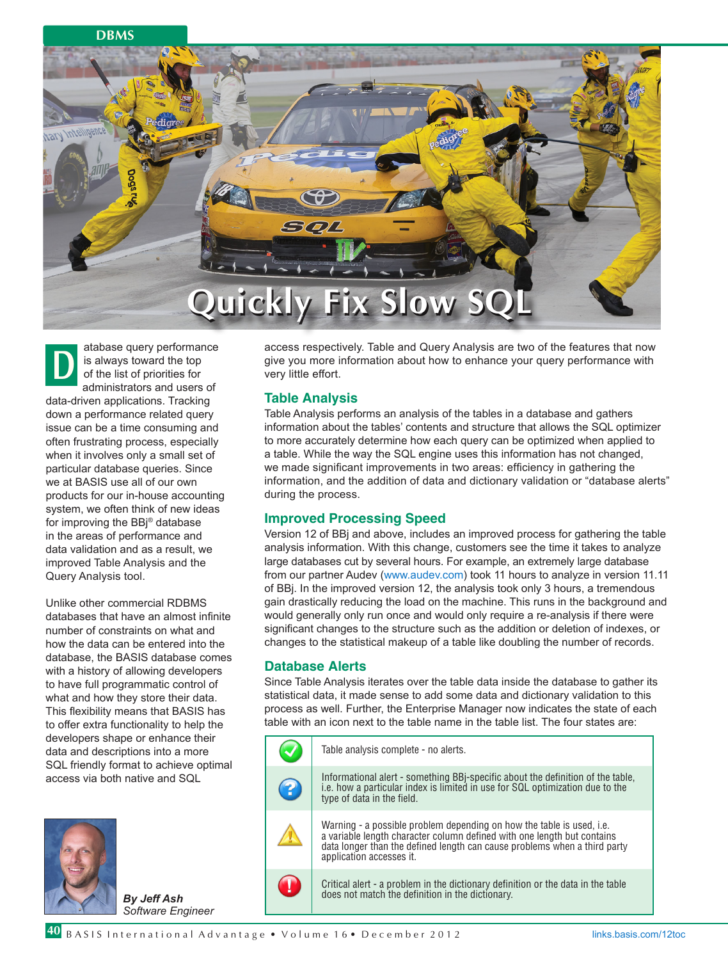### **DBMS**



atabase query performance is always toward the top of the list of priorities for administrators and users of data-driven applications. Tracking down a performance related query issue can be a time consuming and often frustrating process, especially when it involves only a small set of particular database queries. Since we at BASIS use all of our own products for our in-house accounting system, we often think of new ideas for improving the BBj® database in the areas of performance and data validation and as a result, we improved Table Analysis and the Query Analysis tool. **D**

Unlike other commercial RDBMS databases that have an almost infinite number of constraints on what and how the data can be entered into the database, the BASIS database comes with a history of allowing developers to have full programmatic control of what and how they store their data. This flexibility means that BASIS has to offer extra functionality to help the developers shape or enhance their data and descriptions into a more SQL friendly format to achieve optimal access via both native and SQL



*By Jeff Ash Software Engineer* access respectively. Table and Query Analysis are two of the features that now give you more information about how to enhance your query performance with very little effort.

## **Table Analysis**

Table Analysis performs an analysis of the tables in a database and gathers information about the tables' contents and structure that allows the SQL optimizer to more accurately determine how each query can be optimized when applied to a table. While the way the SQL engine uses this information has not changed, we made significant improvements in two areas: efficiency in gathering the information, and the addition of data and dictionary validation or "database alerts" during the process.

# **Improved Processing Speed**

Version 12 of BBj and above, includes an improved process for gathering the table analysis information. With this change, customers see the time it takes to analyze large databases cut by several hours. For example, an extremely large database from our partner Audev (www.audev.com) took 11 hours to analyze in version 11.11 of BBj. In the improved version 12, the analysis took only 3 hours, a tremendous gain drastically reducing the load on the machine. This runs in the background and would generally only run once and would only require a re-analysis if there were significant changes to the structure such as the addition or deletion of indexes, or changes to the statistical makeup of a table like doubling the number of records.

## **Database Alerts**

Since Table Analysis iterates over the table data inside the database to gather its statistical data, it made sense to add some data and dictionary validation to this process as well. Further, the Enterprise Manager now indicates the state of each table with an icon next to the table name in the table list. The four states are:

|   | Table analysis complete - no alerts.                                                                                                                                                                                                                      |
|---|-----------------------------------------------------------------------------------------------------------------------------------------------------------------------------------------------------------------------------------------------------------|
| 2 | Informational alert - something BBj-specific about the definition of the table, i.e. how a particular index is limited in use for SQL optimization due to the<br>type of data in the field.                                                               |
|   | Warning - a possible problem depending on how the table is used, i.e.<br>a variable length character column defined with one length but contains<br>data longer than the defined length can cause problems when a third party<br>application accesses it. |
| Ш | Critical alert - a problem in the dictionary definition or the data in the table<br>does not match the definition in the dictionary.                                                                                                                      |